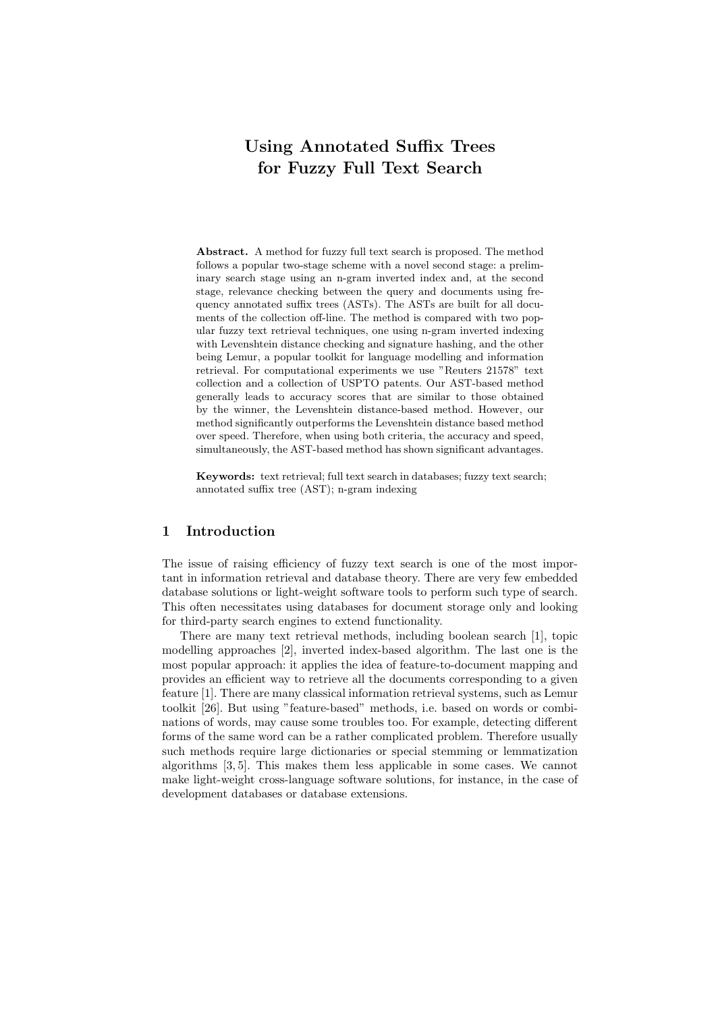# Using Annotated Suffix Trees for Fuzzy Full Text Search

Abstract. A method for fuzzy full text search is proposed. The method follows a popular two-stage scheme with a novel second stage: a preliminary search stage using an n-gram inverted index and, at the second stage, relevance checking between the query and documents using frequency annotated suffix trees (ASTs). The ASTs are built for all documents of the collection off-line. The method is compared with two popular fuzzy text retrieval techniques, one using n-gram inverted indexing with Levenshtein distance checking and signature hashing, and the other being Lemur, a popular toolkit for language modelling and information retrieval. For computational experiments we use "Reuters 21578" text collection and a collection of USPTO patents. Our AST-based method generally leads to accuracy scores that are similar to those obtained by the winner, the Levenshtein distance-based method. However, our method significantly outperforms the Levenshtein distance based method over speed. Therefore, when using both criteria, the accuracy and speed, simultaneously, the AST-based method has shown significant advantages.

Keywords: text retrieval; full text search in databases; fuzzy text search; annotated suffix tree (AST); n-gram indexing

# 1 Introduction

The issue of raising efficiency of fuzzy text search is one of the most important in information retrieval and database theory. There are very few embedded database solutions or light-weight software tools to perform such type of search. This often necessitates using databases for document storage only and looking for third-party search engines to extend functionality.

There are many text retrieval methods, including boolean search [1], topic modelling approaches [2], inverted index-based algorithm. The last one is the most popular approach: it applies the idea of feature-to-document mapping and provides an efficient way to retrieve all the documents corresponding to a given feature [1]. There are many classical information retrieval systems, such as Lemur toolkit [26]. But using "feature-based" methods, i.e. based on words or combinations of words, may cause some troubles too. For example, detecting different forms of the same word can be a rather complicated problem. Therefore usually such methods require large dictionaries or special stemming or lemmatization algorithms [3, 5]. This makes them less applicable in some cases. We cannot make light-weight cross-language software solutions, for instance, in the case of development databases or database extensions.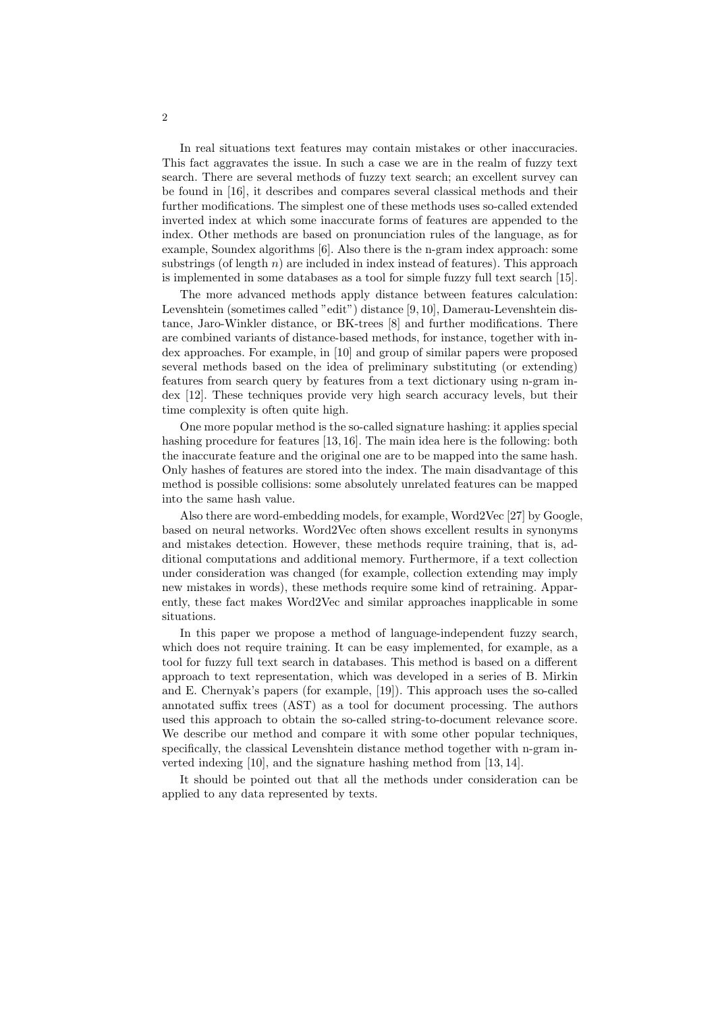In real situations text features may contain mistakes or other inaccuracies. This fact aggravates the issue. In such a case we are in the realm of fuzzy text search. There are several methods of fuzzy text search; an excellent survey can be found in [16], it describes and compares several classical methods and their further modifications. The simplest one of these methods uses so-called extended inverted index at which some inaccurate forms of features are appended to the index. Other methods are based on pronunciation rules of the language, as for example, Soundex algorithms [6]. Also there is the n-gram index approach: some substrings (of length  $n$ ) are included in index instead of features). This approach is implemented in some databases as a tool for simple fuzzy full text search [15].

The more advanced methods apply distance between features calculation: Levenshtein (sometimes called "edit") distance [9, 10], Damerau-Levenshtein distance, Jaro-Winkler distance, or BK-trees [8] and further modifications. There are combined variants of distance-based methods, for instance, together with index approaches. For example, in [10] and group of similar papers were proposed several methods based on the idea of preliminary substituting (or extending) features from search query by features from a text dictionary using n-gram index [12]. These techniques provide very high search accuracy levels, but their time complexity is often quite high.

One more popular method is the so-called signature hashing: it applies special hashing procedure for features [13, 16]. The main idea here is the following: both the inaccurate feature and the original one are to be mapped into the same hash. Only hashes of features are stored into the index. The main disadvantage of this method is possible collisions: some absolutely unrelated features can be mapped into the same hash value.

Also there are word-embedding models, for example, Word2Vec [27] by Google, based on neural networks. Word2Vec often shows excellent results in synonyms and mistakes detection. However, these methods require training, that is, additional computations and additional memory. Furthermore, if a text collection under consideration was changed (for example, collection extending may imply new mistakes in words), these methods require some kind of retraining. Apparently, these fact makes Word2Vec and similar approaches inapplicable in some situations.

In this paper we propose a method of language-independent fuzzy search, which does not require training. It can be easy implemented, for example, as a tool for fuzzy full text search in databases. This method is based on a different approach to text representation, which was developed in a series of B. Mirkin and E. Chernyak's papers (for example, [19]). This approach uses the so-called annotated suffix trees (AST) as a tool for document processing. The authors used this approach to obtain the so-called string-to-document relevance score. We describe our method and compare it with some other popular techniques, specifically, the classical Levenshtein distance method together with n-gram inverted indexing [10], and the signature hashing method from [13, 14].

It should be pointed out that all the methods under consideration can be applied to any data represented by texts.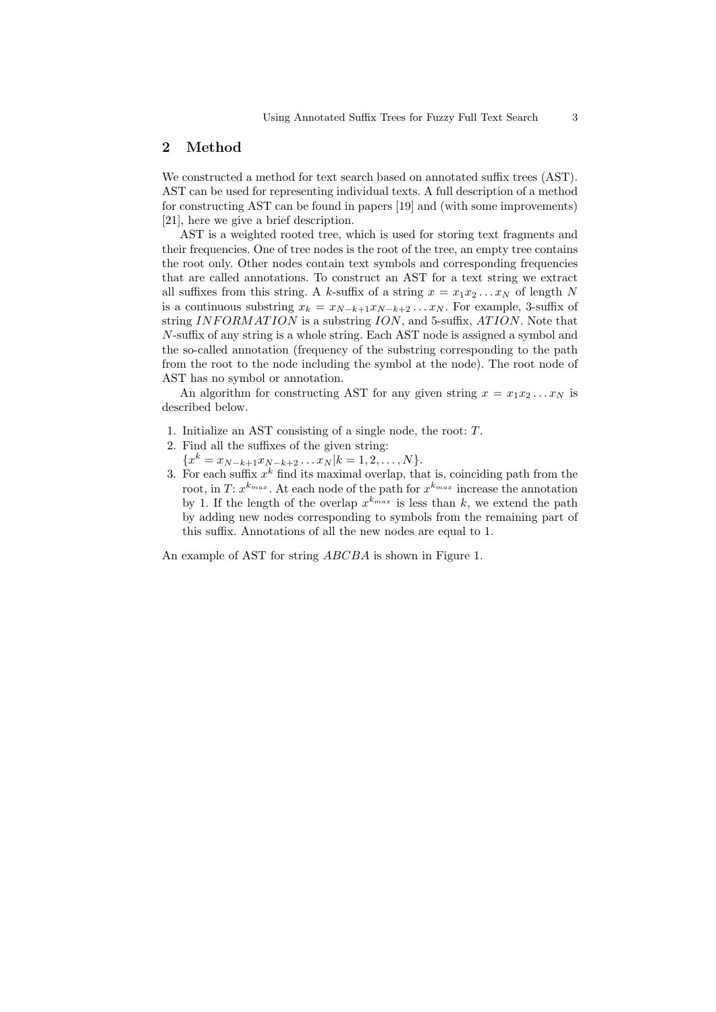# 2 Method

We constructed a method for text search based on annotated suffix trees (AST). AST can be used for representing individual texts. A full description of a method for constructing AST can be found in papers [19] and (with some improvements) [21], here we give a brief description.

AST is a weighted rooted tree, which is used for storing text fragments and their frequencies. One of tree nodes is the root of the tree, an empty tree contains the root only. Other nodes contain text symbols and corresponding frequencies that are called annotations. To construct an AST for a text string we extract all suffixes from this string. A k-suffix of a string  $x = x_1x_2...x_N$  of length N is a continuous substring  $x_k = x_{N-k+1}x_{N-k+2}\dots x_N$ . For example, 3-suffix of string INFORMATION is a substring ION, and 5-suffix, ATION. Note that N-suffix of any string is a whole string. Each AST node is assigned a symbol and the so-called annotation (frequency of the substring corresponding to the path from the root to the node including the symbol at the node). The root node of AST has no symbol or annotation.

An algorithm for constructing AST for any given string  $x = x_1 x_2 ... x_N$  is described below.

- 1. Initialize an AST consisting of a single node, the root: T.
- 2. Find all the suffixes of the given string:
- ${x^k = x_{N-k+1}x_{N-k+2}\ldots x_N|k=1,2,\ldots,N}.$
- 3. For each suffix  $x^k$  find its maximal overlap, that is, coinciding path from the root, in T:  $x^{k_{max}}$ . At each node of the path for  $x^{k_{max}}$  increase the annotation by 1. If the length of the overlap  $x^{k_{max}}$  is less than k, we extend the path by adding new nodes corresponding to symbols from the remaining part of this suffix. Annotations of all the new nodes are equal to 1.

An example of AST for string ABCBA is shown in Figure 1.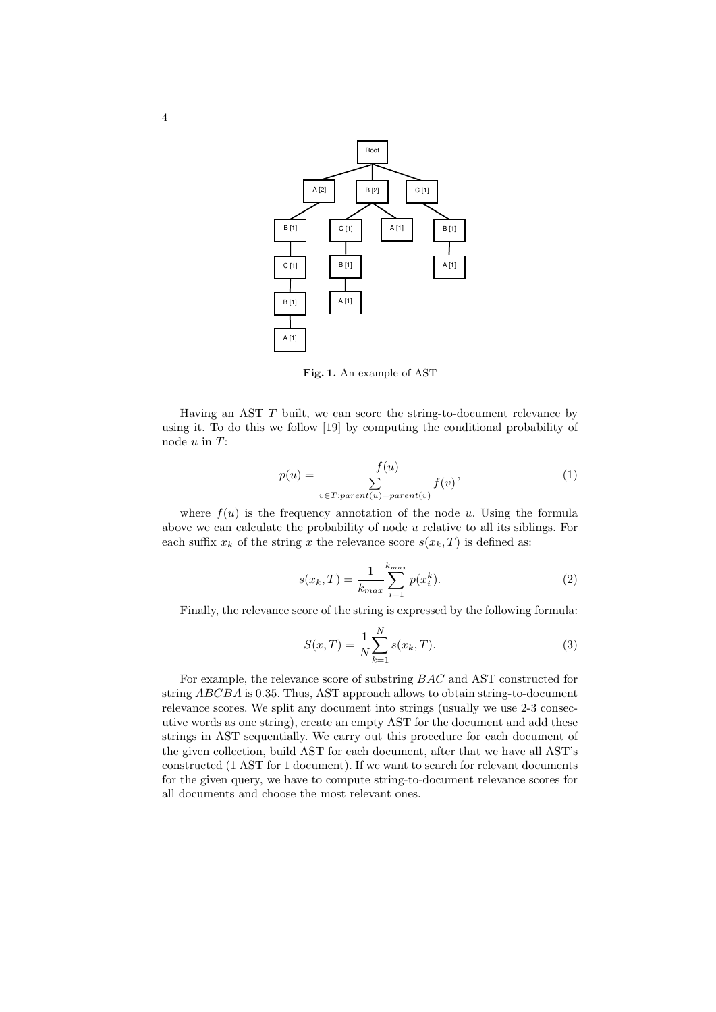

Fig. 1. An example of AST

Having an AST  $T$  built, we can score the string-to-document relevance by using it. To do this we follow [19] by computing the conditional probability of node  $u$  in  $T$ :

$$
p(u) = \frac{f(u)}{\sum_{v \in T:parent(u) = parent(v)} f(v)},
$$
\n(1)

where  $f(u)$  is the frequency annotation of the node u. Using the formula above we can calculate the probability of node  $u$  relative to all its siblings. For each suffix  $x_k$  of the string x the relevance score  $s(x_k, T)$  is defined as:

$$
s(x_k, T) = \frac{1}{k_{max}} \sum_{i=1}^{k_{max}} p(x_i^k).
$$
 (2)

Finally, the relevance score of the string is expressed by the following formula:

$$
S(x,T) = \frac{1}{N} \sum_{k=1}^{N} s(x_k, T).
$$
 (3)

For example, the relevance score of substring BAC and AST constructed for string ABCBA is 0.35. Thus, AST approach allows to obtain string-to-document relevance scores. We split any document into strings (usually we use 2-3 consecutive words as one string), create an empty AST for the document and add these strings in AST sequentially. We carry out this procedure for each document of the given collection, build AST for each document, after that we have all AST's constructed (1 AST for 1 document). If we want to search for relevant documents for the given query, we have to compute string-to-document relevance scores for all documents and choose the most relevant ones.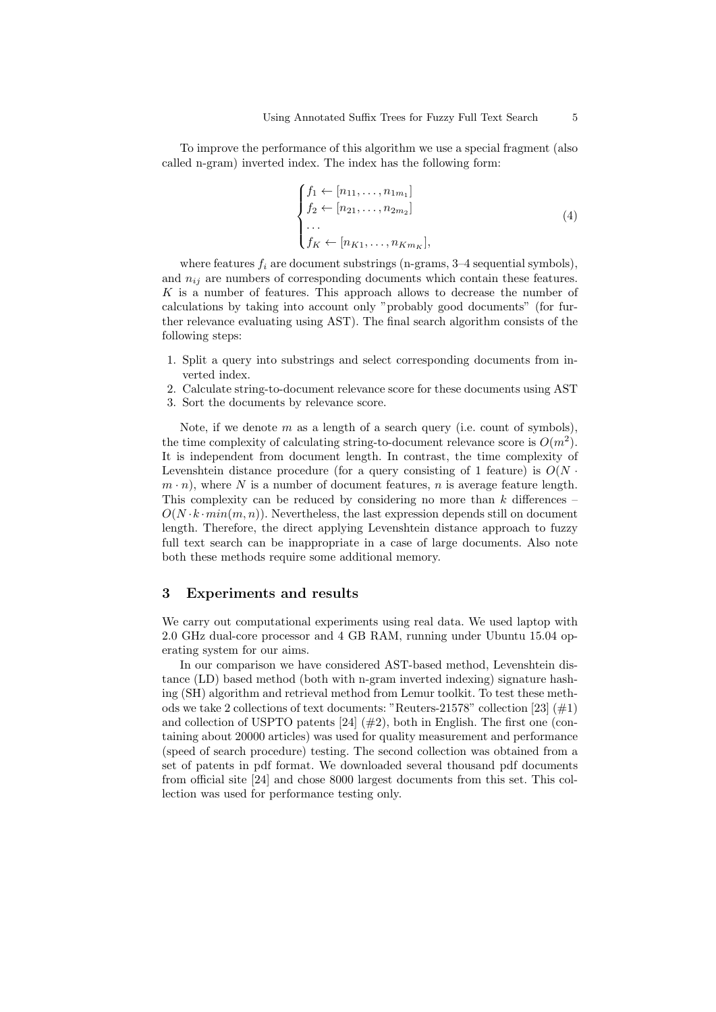To improve the performance of this algorithm we use a special fragment (also called n-gram) inverted index. The index has the following form:

$$
\begin{cases}\nf_1 \leftarrow [n_{11}, \dots, n_{1m_1}] \\
f_2 \leftarrow [n_{21}, \dots, n_{2m_2}] \\
\vdots \\
f_K \leftarrow [n_{K1}, \dots, n_{Km_K}],\n\end{cases} \tag{4}
$$

where features  $f_i$  are document substrings (n-grams, 3–4 sequential symbols), and  $n_{ij}$  are numbers of corresponding documents which contain these features. K is a number of features. This approach allows to decrease the number of calculations by taking into account only "probably good documents" (for further relevance evaluating using AST). The final search algorithm consists of the following steps:

- 1. Split a query into substrings and select corresponding documents from inverted index.
- 2. Calculate string-to-document relevance score for these documents using AST
- 3. Sort the documents by relevance score.

Note, if we denote  $m$  as a length of a search query (i.e. count of symbols), the time complexity of calculating string-to-document relevance score is  $O(m^2)$ . It is independent from document length. In contrast, the time complexity of Levenshtein distance procedure (for a query consisting of 1 feature) is  $O(N \cdot$  $m \cdot n$ , where N is a number of document features, n is average feature length. This complexity can be reduced by considering no more than  $k$  differences –  $O(N \cdot k \cdot min(m, n))$ . Nevertheless, the last expression depends still on document length. Therefore, the direct applying Levenshtein distance approach to fuzzy full text search can be inappropriate in a case of large documents. Also note both these methods require some additional memory.

#### 3 Experiments and results

We carry out computational experiments using real data. We used laptop with 2.0 GHz dual-core processor and 4 GB RAM, running under Ubuntu 15.04 operating system for our aims.

In our comparison we have considered AST-based method, Levenshtein distance (LD) based method (both with n-gram inverted indexing) signature hashing (SH) algorithm and retrieval method from Lemur toolkit. To test these methods we take 2 collections of text documents: "Reuters-21578" collection [23]  $(\#1)$ and collection of USPTO patents  $[24]$  ( $\#2$ ), both in English. The first one (containing about 20000 articles) was used for quality measurement and performance (speed of search procedure) testing. The second collection was obtained from a set of patents in pdf format. We downloaded several thousand pdf documents from official site [24] and chose 8000 largest documents from this set. This collection was used for performance testing only.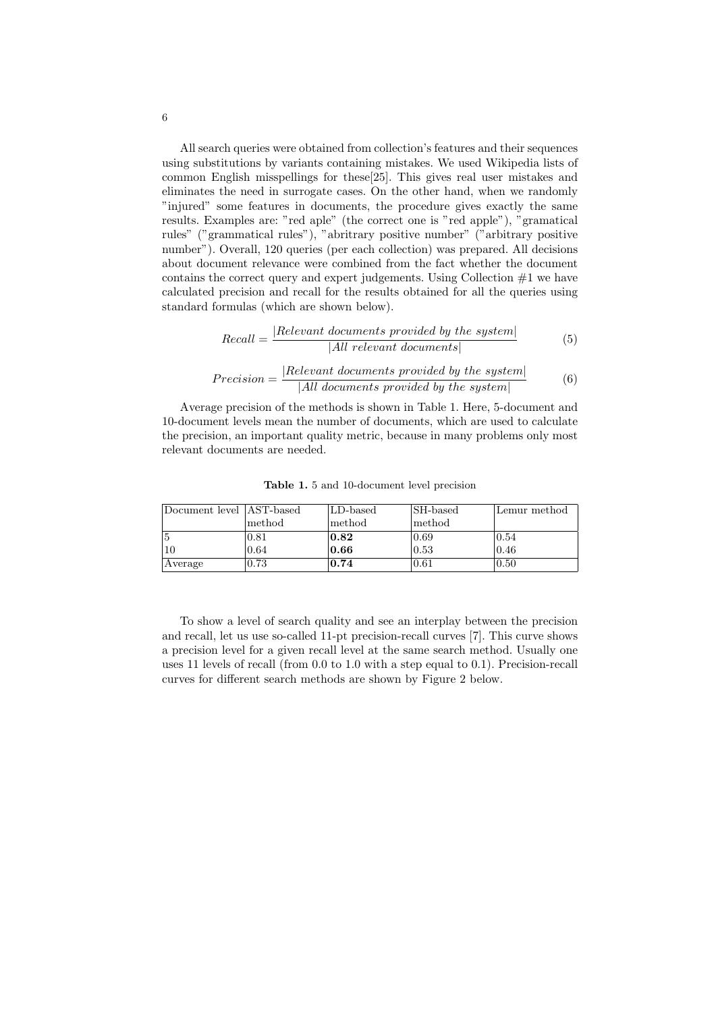All search queries were obtained from collection's features and their sequences using substitutions by variants containing mistakes. We used Wikipedia lists of common English misspellings for these[25]. This gives real user mistakes and eliminates the need in surrogate cases. On the other hand, when we randomly "injured" some features in documents, the procedure gives exactly the same results. Examples are: "red aple" (the correct one is "red apple"), "gramatical rules" ("grammatical rules"), "abritrary positive number" ("arbitrary positive number"). Overall, 120 queries (per each collection) was prepared. All decisions about document relevance were combined from the fact whether the document contains the correct query and expert judgements. Using Collection  $#1$  we have calculated precision and recall for the results obtained for all the queries using standard formulas (which are shown below).

$$
Recall = \frac{|Relevant \text{ documents provided by the system}|}{|All \text{ relevant documents}|}
$$
(5)

$$
Precision = \frac{|Relevant\ documents\ provided\ by\ the\ system|}{|All\ documents\ provided\ by\ the\ system|}
$$
 (6)

Average precision of the methods is shown in Table 1. Here, 5-document and 10-document levels mean the number of documents, which are used to calculate the precision, an important quality metric, because in many problems only most relevant documents are needed.

| Document level   AST-based |        | LD-based | <b>SH-based</b>                 | Lemur method |  |  |
|----------------------------|--------|----------|---------------------------------|--------------|--|--|
|                            | method | method   | $\lfloor \text{method} \rfloor$ |              |  |  |
|                            | 0.81   | 0.82     | 0.69                            | 10.54        |  |  |
|                            | 0.64   | 0.66     | $ 0.53\rangle$                  | 0.46         |  |  |
| Average                    | 0.73   | 0.74     | $\mid 0.61$                     | 10.50        |  |  |

Table 1. 5 and 10-document level precision

To show a level of search quality and see an interplay between the precision and recall, let us use so-called 11-pt precision-recall curves [7]. This curve shows a precision level for a given recall level at the same search method. Usually one uses 11 levels of recall (from 0.0 to 1.0 with a step equal to 0.1). Precision-recall curves for different search methods are shown by Figure 2 below.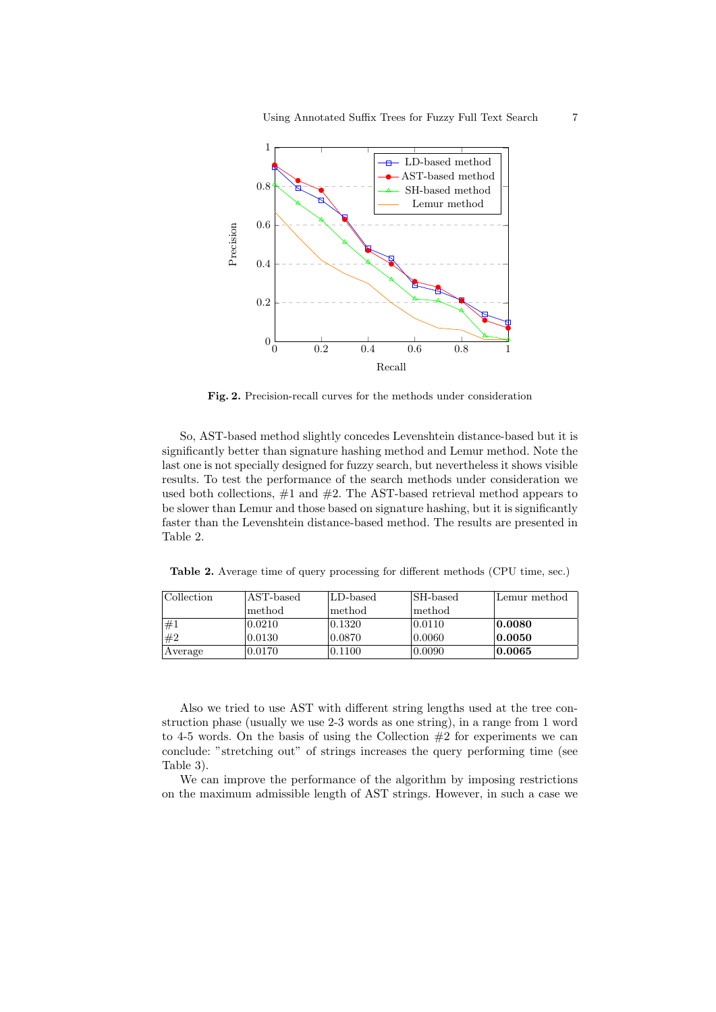

Fig. 2. Precision-recall curves for the methods under consideration

So, AST-based method slightly concedes Levenshtein distance-based but it is significantly better than signature hashing method and Lemur method. Note the last one is not specially designed for fuzzy search, but nevertheless it shows visible results. To test the performance of the search methods under consideration we used both collections,  $\#1$  and  $\#2$ . The AST-based retrieval method appears to be slower than Lemur and those based on signature hashing, but it is significantly faster than the Levenshtein distance-based method. The results are presented in Table 2.

Table 2. Average time of query processing for different methods (CPU time, sec.)

| Collection | AST-based | LD-based | <b>SH-based</b>                 | Lemur method |
|------------|-----------|----------|---------------------------------|--------------|
|            | method.   | lmethod. | $\lfloor \text{method} \rfloor$ |              |
| $\neq$ 1   | 0.0210    | 0.1320   | $ 0.0110\rangle$                | 0.0080       |
| #2         | 0.0130    | 0.0870   | 0.0060                          | 0.0050       |
| Average    | 0.0170    | 0.1100   | 0.0090                          | 0.0065       |

Also we tried to use AST with different string lengths used at the tree construction phase (usually we use 2-3 words as one string), in a range from 1 word to 4-5 words. On the basis of using the Collection  $#2$  for experiments we can conclude: "stretching out" of strings increases the query performing time (see Table 3).

We can improve the performance of the algorithm by imposing restrictions on the maximum admissible length of AST strings. However, in such a case we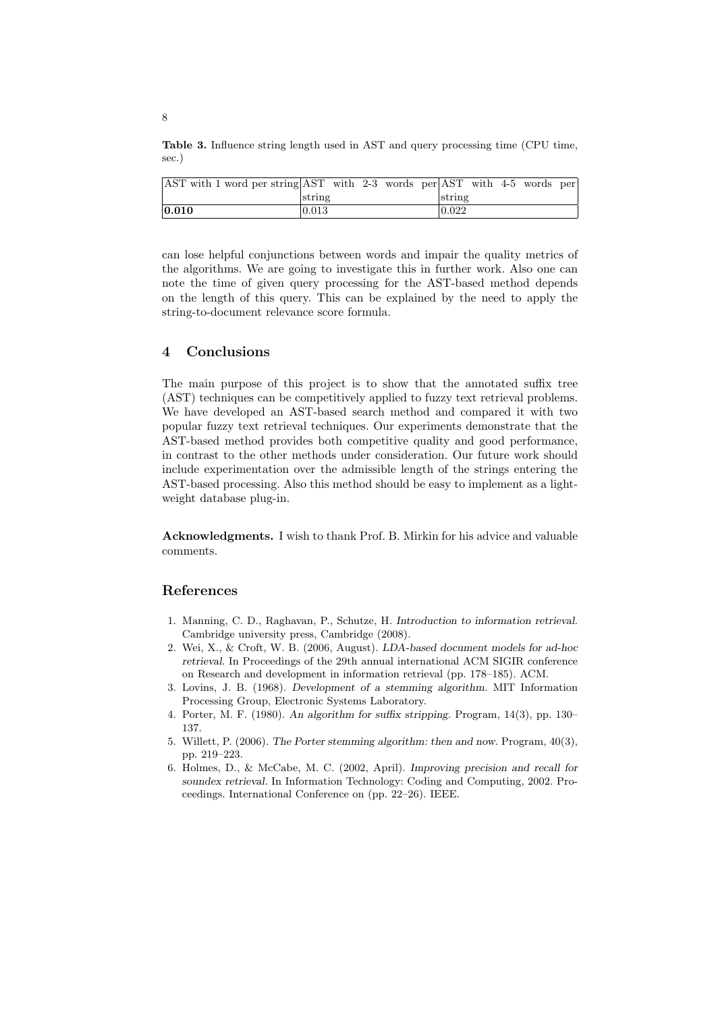Table 3. Influence string length used in AST and query processing time (CPU time, sec.)

| AST with 1 word per string AST with 2-3 words per AST with 4-5 words per |        |  |  |        |  |  |
|--------------------------------------------------------------------------|--------|--|--|--------|--|--|
|                                                                          | string |  |  | string |  |  |
| 0.010                                                                    | 0.013  |  |  | 0.022  |  |  |

can lose helpful conjunctions between words and impair the quality metrics of the algorithms. We are going to investigate this in further work. Also one can note the time of given query processing for the AST-based method depends on the length of this query. This can be explained by the need to apply the string-to-document relevance score formula.

# 4 Conclusions

The main purpose of this project is to show that the annotated suffix tree (AST) techniques can be competitively applied to fuzzy text retrieval problems. We have developed an AST-based search method and compared it with two popular fuzzy text retrieval techniques. Our experiments demonstrate that the AST-based method provides both competitive quality and good performance, in contrast to the other methods under consideration. Our future work should include experimentation over the admissible length of the strings entering the AST-based processing. Also this method should be easy to implement as a lightweight database plug-in.

Acknowledgments. I wish to thank Prof. B. Mirkin for his advice and valuable comments.

### References

- 1. Manning, C. D., Raghavan, P., Schutze, H. Introduction to information retrieval. Cambridge university press, Cambridge (2008).
- 2. Wei, X., & Croft, W. B. (2006, August). LDA-based document models for ad-hoc retrieval. In Proceedings of the 29th annual international ACM SIGIR conference on Research and development in information retrieval (pp. 178–185). ACM.
- 3. Lovins, J. B. (1968). Development of a stemming algorithm. MIT Information Processing Group, Electronic Systems Laboratory.
- 4. Porter, M. F. (1980). An algorithm for suffix stripping. Program, 14(3), pp. 130– 137.
- 5. Willett, P. (2006). The Porter stemming algorithm: then and now. Program, 40(3), pp. 219–223.
- 6. Holmes, D., & McCabe, M. C. (2002, April). Improving precision and recall for soundex retrieval. In Information Technology: Coding and Computing, 2002. Proceedings. International Conference on (pp. 22–26). IEEE.

8